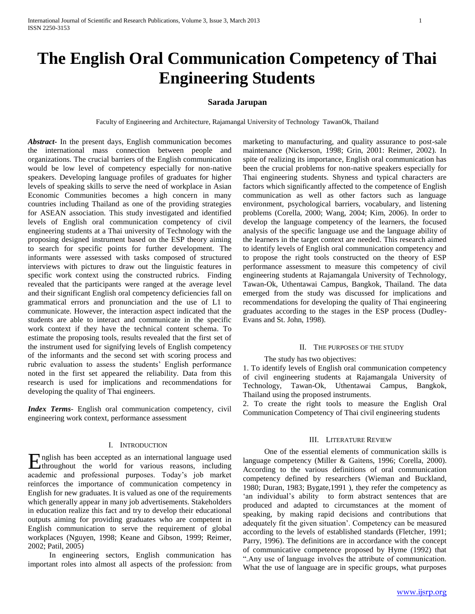# **The English Oral Communication Competency of Thai Engineering Students**

# **Sarada Jarupan**

Faculty of Engineering and Architecture, Rajamangal University of Technology TawanOk, Thailand

*Abstract***-** In the present days, English communication becomes the international mass connection between people and organizations. The crucial barriers of the English communication would be low level of competency especially for non-native speakers. Developing language profiles of graduates for higher levels of speaking skills to serve the need of workplace in Asian Economic Communities becomes a high concern in many countries including Thailand as one of the providing strategies for ASEAN association. This study investigated and identified levels of English oral communication competency of civil engineering students at a Thai university of Technology with the proposing designed instrument based on the ESP theory aiming to search for specific points for further development. The informants were assessed with tasks composed of structured interviews with pictures to draw out the linguistic features in specific work context using the constructed rubrics. Finding revealed that the participants were ranged at the average level and their significant English oral competency deficiencies fall on grammatical errors and pronunciation and the use of L1 to communicate. However, the interaction aspect indicated that the students are able to interact and communicate in the specific work context if they have the technical content schema. To estimate the proposing tools, results revealed that the first set of the instrument used for signifying levels of English competency of the informants and the second set with scoring process and rubric evaluation to assess the students" English performance noted in the first set appeared the reliability. Data from this research is used for implications and recommendations for developing the quality of Thai engineers.

*Index Terms*- English oral communication competency, civil engineering work context, performance assessment

# I. INTRODUCTION

nglish has been accepted as an international language used English has been accepted as an international language used<br>throughout the world for various reasons, including academic and professional purposes. Today"s job market reinforces the importance of communication competency in English for new graduates. It is valued as one of the requirements which generally appear in many job advertisements. Stakeholders in education realize this fact and try to develop their educational outputs aiming for providing graduates who are competent in English communication to serve the requirement of global workplaces (Nguyen, 1998; Keane and Gibson, 1999; Reimer, 2002; Patil, 2005)

 In engineering sectors, English communication has important roles into almost all aspects of the profession: from marketing to manufacturing, and quality assurance to post-sale maintenance (Nickerson, 1998; Grin, 2001: Reimer, 2002). In spite of realizing its importance, English oral communication has been the crucial problems for non-native speakers especially for Thai engineering students. Shyness and typical characters are factors which significantly affected to the competence of English communication as well as other factors such as language environment, psychological barriers, vocabulary, and listening problems (Corella, 2000; Wang, 2004; Kim, 2006). In order to develop the language competency of the learners, the focused analysis of the specific language use and the language ability of the learners in the target context are needed. This research aimed to identify levels of English oral communication competency and to propose the right tools constructed on the theory of ESP performance assessment to measure this competency of civil engineering students at Rajamangala University of Technology, Tawan-Ok, Uthentawai Campus, Bangkok, Thailand. The data emerged from the study was discussed for implications and recommendations for developing the quality of Thai engineering graduates according to the stages in the ESP process (Dudley-Evans and St. John, 1998).

## II. THE PURPOSES OF THE STUDY

## The study has two objectives:

1. To identify levels of English oral communication competency of civil engineering students at Rajamangala University of Technology, Tawan-Ok, Uthentawai Campus, Bangkok, Thailand using the proposed instruments.

2. To create the right tools to measure the English Oral Communication Competency of Thai civil engineering students

#### III. LITERATURE REVIEW

 One of the essential elements of communication skills is language competency (Miller & Gaitens, 1996; Corella, 2000). According to the various definitions of oral communication competency defined by researchers (Wieman and Buckland, 1980; Duran, 1983; Bygate,1991 ), they refer the competency as 'an individual's ability to form abstract sentences that are produced and adapted to circumstances at the moment of speaking, by making rapid decisions and contributions that adequately fit the given situation". Competency can be measured according to the levels of established standards (Fletcher, 1991; Parry, 1996). The definitions are in accordance with the concept of communicative competence proposed by Hyme (1992) that ".Any use of language involves the attribute of communication. What the use of language are in specific groups, what purposes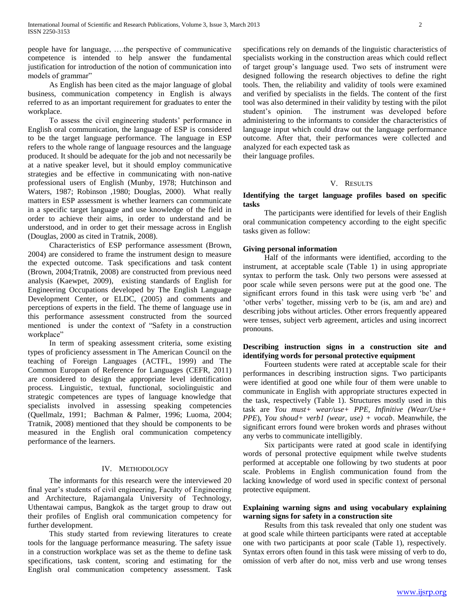people have for language, ….the perspective of communicative competence is intended to help answer the fundamental justification for introduction of the notion of communication into models of grammar"

 As English has been cited as the major language of global business, communication competency in English is always referred to as an important requirement for graduates to enter the workplace.

 To assess the civil engineering students" performance in English oral communication, the language of ESP is considered to be the target language performance. The language in ESP refers to the whole range of language resources and the language produced. It should be adequate for the job and not necessarily be at a native speaker level, but it should employ communicative strategies and be effective in communicating with non-native professional users of English (Munby, 1978; Hutchinson and Waters, 1987; Robinson ,1980; Douglas, 2000). What really matters in ESP assessment is whether learners can communicate in a specific target language and use knowledge of the field in order to achieve their aims, in order to understand and be understood, and in order to get their message across in English (Douglas, 2000 as cited in Tratnik, 2008).

 Characteristics of ESP performance assessment (Brown, 2004) are considered to frame the instrument design to measure the expected outcome. Task specifications and task content (Brown, 2004;Tratnik, 2008) are constructed from previous need analysis (Kaewpet, 2009), existing standards of English for Engineering Occupations developed by The English Language Development Center, or ELDC, (2005) and comments and perceptions of experts in the field. The theme of language use in this performance assessment constructed from the sourced mentioned is under the context of "Safety in a construction workplace"

 In term of speaking assessment criteria, some existing types of proficiency assessment in The American Council on the teaching of Foreign Languages (ACTFL, 1999) and The Common European of Reference for Languages (CEFR, 2011) are considered to design the appropriate level identification process. Linguistic, textual, functional, sociolinguistic and strategic competences are types of language knowledge that specialists involved in assessing speaking competencies (Quellmalz, 1991; Bachman & Palmer, 1996; Luoma, 2004; Tratnik, 2008) mentioned that they should be components to be measured in the English oral communication competency performance of the learners.

## IV. METHODOLOGY

 The informants for this research were the interviewed 20 final year's students of civil engineering, Faculty of Engineering and Architecture, Rajamangala University of Technology, Uthentawai campus, Bangkok as the target group to draw out their profiles of English oral communication competency for further development.

 This study started from reviewing literatures to create tools for the language performance measuring. The safety issue in a construction workplace was set as the theme to define task specifications, task content, scoring and estimating for the English oral communication competency assessment. Task specifications rely on demands of the linguistic characteristics of specialists working in the construction areas which could reflect of target group"s language used. Two sets of instrument were designed following the research objectives to define the right tools. Then, the reliability and validity of tools were examined and verified by specialists in the fields. The content of the first tool was also determined in their validity by testing with the pilot student"s opinion. The instrument was developed before administering to the informants to consider the characteristics of language input which could draw out the language performance outcome. After that, their performances were collected and analyzed for each expected task as

their language profiles.

# V. RESULTS

# **Identifying the target language profiles based on specific tasks**

 The participants were identified for levels of their English oral communication competency according to the eight specific tasks given as follow:

# **Giving personal information**

 Half of the informants were identified, according to the instrument, at acceptable scale (Table 1) in using appropriate syntax to perform the task. Only two persons were assessed at poor scale while seven persons were put at the good one. The significant errors found in this task were using verb "be" and "other verbs" together, missing verb to be (is, am and are) and describing jobs without articles. Other errors frequently appeared were tenses, subject verb agreement, articles and using incorrect pronouns.

# **Describing instruction signs in a construction site and identifying words for personal protective equipment**

 Fourteen students were rated at acceptable scale for their performances in describing instruction signs. Two participants were identified at good one while four of them were unable to communicate in English with appropriate structures expected in the task, respectively (Table 1). Structures mostly used in this task are *You must+ wear/use+ PPE, Infinitive (Wear/Use+ PPE*), *You shoud+ verb1 (wear, use) + vocab*. Meanwhile, the significant errors found were broken words and phrases without any verbs to communicate intelligibly.

 Six participants were rated at good scale in identifying words of personal protective equipment while twelve students performed at acceptable one following by two students at poor scale. Problems in English communication found from the lacking knowledge of word used in specific context of personal protective equipment.

# **Explaining warning signs and using vocabulary explaining warning signs for safety in a construction site**

 Results from this task revealed that only one student was at good scale while thirteen participants were rated at acceptable one with two participants at poor scale (Table 1), respectively. Syntax errors often found in this task were missing of verb to do, omission of verb after do not, miss verb and use wrong tenses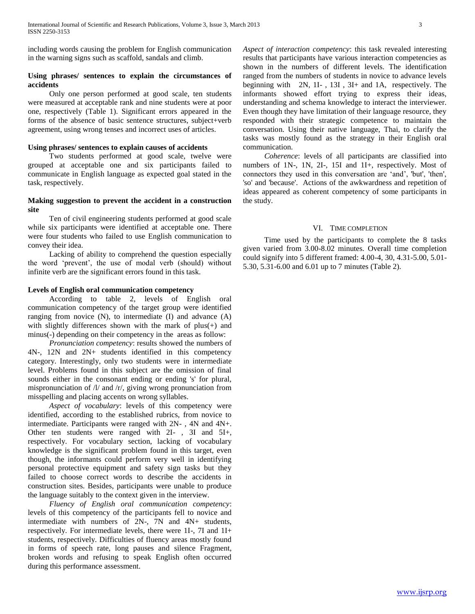including words causing the problem for English communication in the warning signs such as scaffold, sandals and climb.

# **Using phrases/ sentences to explain the circumstances of accidents**

 Only one person performed at good scale, ten students were measured at acceptable rank and nine students were at poor one, respectively (Table 1). Significant errors appeared in the forms of the absence of basic sentence structures, subject+verb agreement, using wrong tenses and incorrect uses of articles.

# **Using phrases/ sentences to explain causes of accidents**

 Two students performed at good scale, twelve were grouped at acceptable one and six participants failed to communicate in English language as expected goal stated in the task, respectively.

# **Making suggestion to prevent the accident in a construction site**

 Ten of civil engineering students performed at good scale while six participants were identified at acceptable one. There were four students who failed to use English communication to convey their idea.

 Lacking of ability to comprehend the question especially the word "prevent", the use of modal verb (should) without infinite verb are the significant errors found in this task.

# **Levels of English oral communication competency**

 According to table 2, levels of English oral communication competency of the target group were identified ranging from novice (N), to intermediate (I) and advance (A) with slightly differences shown with the mark of plus(+) and minus(-) depending on their competency in the areas as follow:

 *Pronunciation competency*: results showed the numbers of 4N-, 12N and 2N+ students identified in this competency category. Interestingly, only two students were in intermediate level. Problems found in this subject are the omission of final sounds either in the consonant ending or ending 's' for plural, mispronunciation of /l/ and /r/, giving wrong pronunciation from misspelling and placing accents on wrong syllables.

 *Aspect of vocabulary*: levels of this competency were identified, according to the established rubrics, from novice to intermediate. Participants were ranged with 2N- , 4N and 4N+. Other ten students were ranged with 2I- , 3I and 5I+, respectively. For vocabulary section, lacking of vocabulary knowledge is the significant problem found in this target, even though, the informants could perform very well in identifying personal protective equipment and safety sign tasks but they failed to choose correct words to describe the accidents in construction sites. Besides, participants were unable to produce the language suitably to the context given in the interview.

 *Fluency of English oral communication competency*: levels of this competency of the participants fell to novice and intermediate with numbers of 2N-, 7N and 4N+ students, respectively. For intermediate levels, there were 1I-, 7I and 1I+ students, respectively. Difficulties of fluency areas mostly found in forms of speech rate, long pauses and silence Fragment, broken words and refusing to speak English often occurred during this performance assessment.

*Aspect of interaction competency*: this task revealed interesting results that participants have various interaction competencies as shown in the numbers of different levels. The identification ranged from the numbers of students in novice to advance levels beginning with 2N, 1I- , 13I , 3I+ and 1A, respectively. The informants showed effort trying to express their ideas, understanding and schema knowledge to interact the interviewer. Even though they have limitation of their language resource, they responded with their strategic competence to maintain the conversation. Using their native language, Thai, to clarify the tasks was mostly found as the strategy in their English oral communication.

 *Coherence*: levels of all participants are classified into numbers of 1N-, 1N, 2I-, 15I and 1I+, respectively. Most of connectors they used in this conversation are "and", 'but', 'then', 'so' and 'because'. Actions of the awkwardness and repetition of ideas appeared as coherent competency of some participants in the study.

# VI. TIME COMPLETION

 Time used by the participants to complete the 8 tasks given varied from 3.00-8.02 minutes. Overall time completion could signify into 5 different framed: 4.00-4, 30, 4.31-5.00, 5.01- 5.30, 5.31-6.00 and 6.01 up to 7 minutes (Table 2).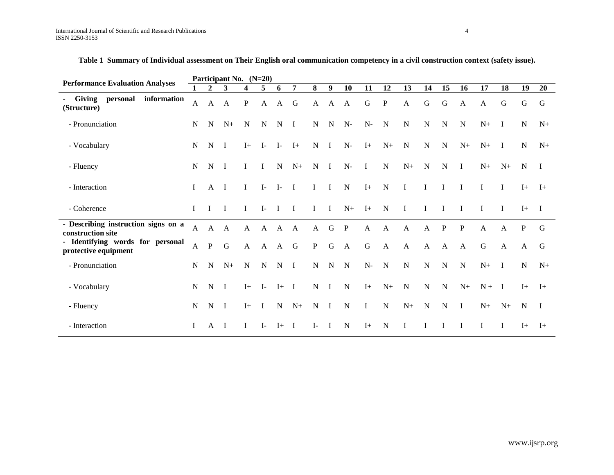| <b>Performance Evaluation Analyses</b>                   |              |              | Participant No. (N=20) |              |              |              |                |              |              |              |                      |              |              |              |              |              |              |              |              |                |
|----------------------------------------------------------|--------------|--------------|------------------------|--------------|--------------|--------------|----------------|--------------|--------------|--------------|----------------------|--------------|--------------|--------------|--------------|--------------|--------------|--------------|--------------|----------------|
|                                                          |              | $\mathbf{2}$ | 3                      | 4            | 5            | 6            | 7              | 8            | 9            | 10           | 11                   | 12           | 13           | 14           | 15           | 16           | 17           | 18           | 19           | 20             |
| - Giving<br>personal<br>information<br>(Structure)       | $\mathbf{A}$ | $\mathbf{A}$ | $\mathbf{A}$           | ${\bf P}$    | $\mathbf{A}$ | $\mathbf{A}$ | G              | $\mathbf{A}$ | $\mathbf{A}$ | $\mathbf{A}$ | $\mathbf G$          | $\mathbf{P}$ | A            | $\mathbf G$  | G            | $\mathbf{A}$ | A            | $\mathsf G$  | G            | G              |
| - Pronunciation                                          | N            | N            | $N+$                   | N            | $\mathbf N$  | $\mathbf N$  | $\mathbf{I}$   | $\mathbf N$  | $\mathbf N$  | $N-$         | $N-$                 | $\mathbf N$  | ${\bf N}$    | $\mathbf N$  | ${\bf N}$    | $\mathbf N$  | $N+$         | $\bf{I}$     | N            | $N+$           |
| - Vocabulary                                             | N            | N            | $\mathbf{I}$           | $I+$         | $\mathbf{I}$ | $\mathbf{I}$ | $I+$           | N            | $\mathbf{I}$ | $N-$         | $I+$                 | $N+$         | $\mathbf N$  | $\mathbf N$  | $\mathbf N$  | $N+$         | $N+$         | $\bf I$      | N            | $N+$           |
| - Fluency                                                | N            | N            | $\blacksquare$         | L            | $\mathbf{I}$ | $\mathbf N$  | $N+$           | $\mathbf N$  | $\mathbf{I}$ | $N-$         | $\mathbf{I}$         | $\mathbf N$  | $N+$         | $\mathbf N$  | $\mathbf N$  | $\mathbf I$  | $N+$         | $N+$         | N            | $\mathbf{I}$   |
| - Interaction                                            | Ι.           | A            | $\mathbf{I}$           | $\bf{I}$     | $I-$         | $I-$         | $\blacksquare$ | $\mathbf I$  | $\bf{I}$     | ${\bf N}$    | $I+$                 | $\mathbf N$  | $\bf{I}$     | $\mathbf{I}$ | $\mathbf{I}$ | $\mathbf{I}$ | $\mathbf{I}$ | $\bf{I}$     | $I+$         | $I+$           |
| - Coherence                                              | $\mathbf{I}$ | T            | $\mathbf{I}$           | $\mathbf I$  | $\mathbf{I}$ | $\mathbf{I}$ | $\mathbf{I}$   | $\mathbf{I}$ | $\mathbf{I}$ | $N+$         | $I+$                 | $\mathbf N$  | $\mathbf{I}$ | T            | I            | $\mathbf{I}$ | $\mathbf I$  | $\mathbf I$  | $I+$         | $\blacksquare$ |
| - Describing instruction signs on a<br>construction site |              | $\mathbf{A}$ | $\mathbf{A}$           | $\mathbf{A}$ | A            | A            | A              | $\mathbf{A}$ | G            | $\mathbf{P}$ | $\mathbf{A}$         | $\mathbf{A}$ | A            | $\mathbf{A}$ | $\mathbf{P}$ | $\mathbf{P}$ | $\mathbf{A}$ | $\mathbf{A}$ | $\mathbf{P}$ | G              |
| - Identifying words for personal<br>protective equipment | $\mathbf{A}$ | $\, {\bf P}$ | $\mathbf G$            | $\mathbf{A}$ | $\mathbf{A}$ | $\mathbf{A}$ | G              | $\mathbf{P}$ | ${\bf G}$    | $\mathbf{A}$ | $\mathbf G$          | $\mathbf{A}$ | $\mathbf{A}$ | A            | A            | $\mathbf{A}$ | $\mathbf G$  | $\mathbf{A}$ | A            | G              |
| - Pronunciation                                          | N            | N            | $N+$                   | $\mathbf N$  | N            | $\mathbf N$  | $\mathbf{I}$   | $\mathbf N$  | N            | $\mathbf N$  | $\mathbf{N}\text{-}$ | $\mathbf N$  | N            | N            | N            | $\mathbf N$  | $N+$         | $\bf I$      | N            | $N+$           |
| - Vocabulary                                             | N            | N            | $\mathbf{I}$           | $I+$         | $I-$         | $I+$         | $\mathbf{I}$   | $\mathbf N$  | Ι.           | $\mathbf N$  | $I+$                 | $N+$         | $\mathbf N$  | N            | N            | $N+$         | $N +$        | $\mathbf{I}$ | $I+$         | $I+$           |
| - Fluency                                                | N            | N            | $\mathbf{I}$           | $I+$         | $\bf{I}$     | N            | $N+$           | $\mathbf N$  | $\mathbf{I}$ | N            | $\bf{I}$             | N            | $N+$         | N            | N            | $\bf{I}$     | $N+$         | $N+$         | $\mathbf N$  | $\mathbf{I}$   |
| - Interaction                                            | I            | A            | - 1                    | I            | $I-$         | $I+$ I       |                | $I-$         | $\mathbf I$  | $\mathbf N$  | $I+$                 | $\mathbf N$  | $\bf{I}$     | I            | I            | $\bf{I}$     | I            | $\bf{I}$     | $I+$         | $I+$           |

**Table 1 Summary of Individual assessment on Their English oral communication competency in a civil construction context (safety issue).**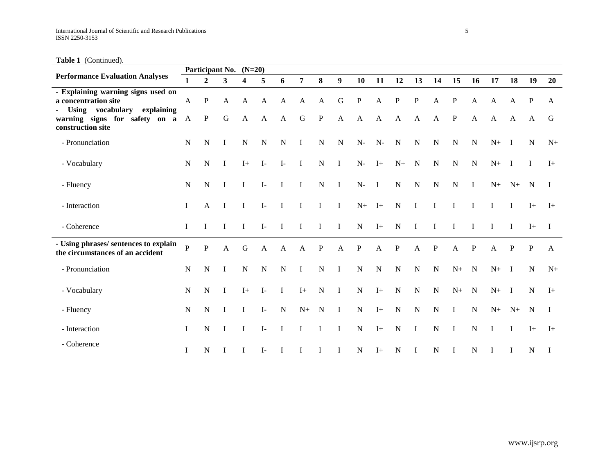**Table 1** (Continued).

|                                                                                                                                                   |                |                              | Participant No. (N=20) |                              |                   |                   |                           |                             |                             |                      |                   |                           |                             |                              |                            |                   |              |                   |                   |              |
|---------------------------------------------------------------------------------------------------------------------------------------------------|----------------|------------------------------|------------------------|------------------------------|-------------------|-------------------|---------------------------|-----------------------------|-----------------------------|----------------------|-------------------|---------------------------|-----------------------------|------------------------------|----------------------------|-------------------|--------------|-------------------|-------------------|--------------|
| <b>Performance Evaluation Analyses</b>                                                                                                            | 1              | $\overline{2}$               | 3                      | 4                            | 5                 | 6                 | $\overline{7}$            | 8                           | $\boldsymbol{9}$            | 10                   | 11                | 12                        | 13                          | 14                           | 15                         | 16                | 17           | 18                | 19                | 20           |
| - Explaining warning signs used on<br>a concentration site<br>Using vocabulary explaining<br>warning signs for safety on a A<br>construction site | $\mathbf{A}$   | $\mathbf{P}$<br>$\mathbf{P}$ | A<br>${\bf G}$         | $\mathbf{A}$<br>$\mathbf{A}$ | A<br>$\mathbf{A}$ | A<br>$\mathbf{A}$ | $\mathbf{A}$<br>${\bf G}$ | $\mathbf{A}$<br>$\mathbf P$ | $\mathbf G$<br>$\mathbf{A}$ | $\mathbf{P}$<br>A    | A<br>$\mathbf{A}$ | ${\bf P}$<br>$\mathbf{A}$ | $\mathbf P$<br>$\mathbf{A}$ | $\mathbf{A}$<br>$\mathbf{A}$ | $\mathbf P$<br>$\mathbf P$ | A<br>$\mathbf{A}$ | A<br>A       | A<br>$\mathbf{A}$ | P<br>$\mathbf{A}$ | A<br>G       |
| - Pronunciation                                                                                                                                   | N              | N                            | 1                      | $\mathbf N$                  | N                 | N                 | $\bf I$                   | ${\bf N}$                   | $\mathbf N$                 | $N-$                 | $N-$              | $\mathbf N$               | $\mathbf N$                 | ${\bf N}$                    | N                          | N                 | $N_{+}$      | $\mathbf{I}$      | $\mathbf N$       | $N+$         |
| - Vocabulary                                                                                                                                      | N              | N                            | $\bf I$                | $I+$                         | $\mathbf{I}$      | $\mathbf{I}$      | $\bf I$                   | $\mathbf N$                 | $\mathbf{I}$                | $\mathbf{N}\text{-}$ | $I+$              | $N+$                      | $\mathbf N$                 | $\mathbf N$                  | N                          | $\mathbf N$       | $N+$         | $\mathbf{I}$      | $\bf{I}$          | $I+$         |
| - Fluency                                                                                                                                         | N              | N                            | I                      | $\mathbf{I}$                 | $I-$              | $\mathbf I$       | L                         | ${\bf N}$                   | $\mathbf{I}$                | $N-$                 | $\mathbf{I}$      | ${\bf N}$                 | $\mathbf N$                 | ${\bf N}$                    | N                          | $\bf{I}$          | $N_{+}$      | $N+$              | $\mathbf N$       | $\mathbf{I}$ |
| - Interaction                                                                                                                                     | L              | A                            | I                      | $\mathbf{I}$                 | $\mathbf{I}$      | $\mathbf{I}$      | I                         | L                           | $\bf{I}$                    | $N+$                 | $I+$              | $\mathbf N$               | $\mathbf{I}$                | I                            | I                          | T                 | $\mathbf I$  | $\mathbf I$       | $I+$              | $I+$         |
| - Coherence                                                                                                                                       | L              | T                            | I                      | $\mathbf{I}$                 | $\mathbf{I}$      | $\mathbf I$       | I                         | I                           | $\bf{I}$                    | ${\bf N}$            | $I+$              | ${\bf N}$                 | $\mathbf I$                 | I                            | L                          | I                 | $\mathbf I$  | $\bf{I}$          | $I+$              | $\mathbf{I}$ |
| - Using phrases/ sentences to explain<br>the circumstances of an accident                                                                         | $\overline{P}$ | $\mathbf{P}$                 | $\mathbf{A}$           | $\mathbf G$                  | A                 | $\mathbf{A}$      | $\mathbf{A}$              | P                           | $\mathbf{A}$                | P                    | A                 | $\mathbf P$               | $\mathbf{A}$                | P                            | A                          | P                 | A            | P                 | P                 | $\mathbf{A}$ |
| - Pronunciation                                                                                                                                   | N              | $\mathbf N$                  | $\bf{I}$               | ${\bf N}$                    | ${\bf N}$         | $\mathbf N$       | $\bf{I}$                  | ${\bf N}$                   | $\mathbf{I}$                | ${\bf N}$            | $\mathbf N$       | ${\bf N}$                 | $\mathbf N$                 | ${\bf N}$                    | $N+$                       | $\mathbf N$       | $N+$         | $\mathbf{I}$      | $\mathbf N$       | $N+$         |
| - Vocabulary                                                                                                                                      | N              | N                            | $\mathbf I$            | $I+$                         | $\mathbf{I}$      | $\bf{I}$          | $I+$                      | ${\bf N}$                   | $\mathbf{I}$                | ${\bf N}$            | $I+$              | $\mathbf N$               | $\mathbf N$                 | $\mathbf N$                  | $N+$                       | $\mathbf N$       | $N+$ I       |                   | $\mathbf N$       | $I+$         |
| - Fluency                                                                                                                                         | $\mathbf N$    | $\mathbf N$                  | $\bf{I}$               | $\mathbf{I}$                 | $\mathbf{I}$      | $\mathbf N$       | $N+$                      | $\mathbf N$                 | $\mathbf{I}$                | ${\bf N}$            | $I+$              | $\mathbf N$               | $\mathbf N$                 | ${\bf N}$                    | $\mathbf{I}$               | $\mathbf N$       | $N+$         | $N+$              | $\mathbf N$       | $\mathbf{I}$ |
| - Interaction                                                                                                                                     | L              | N                            | I                      | $\mathbf{I}$                 | $I-$              | $\mathbf{I}$      | L                         | $\mathbf I$                 | $\bf{I}$                    | ${\bf N}$            | $I+$              | $\mathbf N$               | $\mathbf I$                 | ${\bf N}$                    | $\mathbf{I}$               | $\mathbf N$       | $\mathbf{I}$ | $\mathbf I$       | $I+$              | $I+$         |
| - Coherence                                                                                                                                       | 1              | N                            |                        | <b>I</b>                     | $\mathbf{I}$      | $\mathbf I$       | I                         | 1                           | <b>I</b>                    | $\mathbf N$          | $I+$              | ${\bf N}$                 | -1                          | $\mathbf N$                  | $\bf{I}$                   | N                 | T            | -1                | N                 | $\mathbf I$  |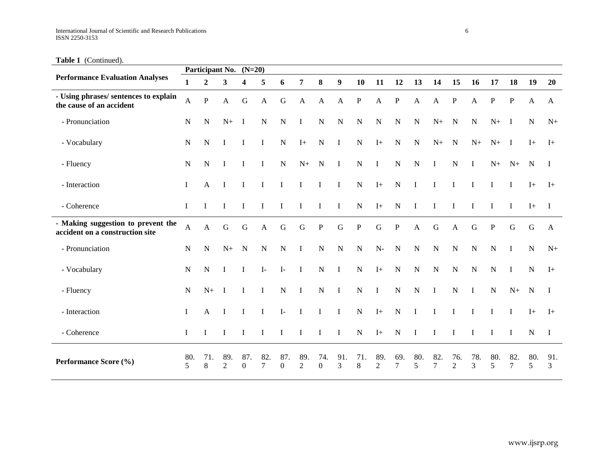Table 1 (Continued).

|                                                                       |              | Participant No. $(N=20)$ |                         |                         |               |                     |                       |                         |             |           |             |               |             |                       |                       |              |             |                |             |              |
|-----------------------------------------------------------------------|--------------|--------------------------|-------------------------|-------------------------|---------------|---------------------|-----------------------|-------------------------|-------------|-----------|-------------|---------------|-------------|-----------------------|-----------------------|--------------|-------------|----------------|-------------|--------------|
| <b>Performance Evaluation Analyses</b>                                | 1            | $\overline{2}$           | $\overline{\mathbf{3}}$ | $\overline{\mathbf{4}}$ | 5             | 6                   | $\overline{7}$        | 8                       | 9           | 10        | 11          | 12            | 13          | 14                    | 15                    | 16           | 17          | 18             | 19          | 20           |
| - Using phrases/ sentences to explain<br>the cause of an accident     | $\mathbf{A}$ | $\mathbf{P}$             | $\mathbf{A}$            | $\mathbf G$             | $\mathbf{A}$  | $\mathbf G$         | A                     | A                       | A           | P         | A           | P             | A           | A                     | $\mathbf P$           | $\mathbf{A}$ | $\mathbf P$ | $\mathbf P$    | A           | $\mathbf{A}$ |
| - Pronunciation                                                       | N            | N                        | $N+$                    | $\bf{I}$                | $\mathbf N$   | $\mathbf N$         | $\bf{I}$              | $\mathbf N$             | $\mathbf N$ | ${\bf N}$ | $\mathbf N$ | ${\bf N}$     | $\mathbf N$ | $N+$                  | $\mathbf N$           | $\mathbf N$  | $N+$        | $\mathbf{I}$   | $\mathbf N$ | $N+$         |
| - Vocabulary                                                          | ${\bf N}$    | N                        | I                       | T                       | T             | ${\bf N}$           | $I+$                  | $\mathbf N$             | $\bf{I}$    | ${\bf N}$ | $I+$        | $\mathbf N$   | N           | $N+$                  | $\mathbf N$           | $N+$         | $N+$        | $\blacksquare$ | $I+$        | $I+$         |
| - Fluency                                                             | ${\bf N}$    | N                        | I                       | $\mathbf I$             | $\bf{I}$      | ${\bf N}$           | $N+$                  | $\mathbf N$             | $\bf{I}$    | ${\bf N}$ | $\mathbf I$ | ${\bf N}$     | ${\bf N}$   | $\bf{I}$              | $\mathbf N$           | $\bf{I}$     | $N+$        | $N+$           | $\mathbf N$ | I            |
| - Interaction                                                         | I            | A                        | I                       | L                       |               |                     | $\mathbf I$           | $\bf{I}$                | $\bf{I}$    | ${\bf N}$ | $I+$        | $\mathbf N$   | T           | I                     |                       | T            | I           | $\bf{I}$       | $I+$        | $I+$         |
| - Coherence                                                           | L            | $\mathbf I$              | I                       | $\mathbf I$             | T             |                     | I                     | 1                       | $\mathbf I$ | ${\bf N}$ | $I+$        | ${\bf N}$     | I           | I                     |                       |              | I           | Ι.             | $I+$        | $\mathbf{I}$ |
| - Making suggestion to prevent the<br>accident on a construction site | A            | A                        | $\mathbf G$             | $\mathbf G$             | $\mathbf{A}$  | $\mathbf G$         | G                     | $\mathbf P$             | ${\bf G}$   | ${\bf P}$ | $\mathbf G$ | ${\bf P}$     | A           | G                     | A                     | G            | $\mathbf P$ | ${\bf G}$      | ${\bf G}$   | $\mathbf{A}$ |
| - Pronunciation                                                       | ${\bf N}$    | N                        | $N_{+}$                 | N                       | ${\bf N}$     | ${\bf N}$           | $\bf{I}$              | ${\bf N}$               | $\mathbf N$ | ${\bf N}$ | ${\bf N}$ - | $\mathbf N$   | ${\bf N}$   | ${\bf N}$             | N                     | $\mathbf N$  | ${\bf N}$   | -1             | ${\bf N}$   | $N+$         |
| - Vocabulary                                                          | ${\bf N}$    | N                        | I                       | I                       | $\mathbf{I}$  | $I-$                | $\bf{I}$              | N                       | $\bf{I}$    | ${\bf N}$ | $I+$        | ${\bf N}$     | ${\bf N}$   | $\mathbf N$           | N                     | $\mathbf N$  | ${\bf N}$   | $\bf{I}$       | ${\bf N}$   | $I+$         |
| - Fluency                                                             | ${\bf N}$    | $N+$                     | $\mathbf I$             | $\bf{I}$                | <b>I</b>      | ${\bf N}$           | $\bf{I}$              | ${\bf N}$               | $\mathbf I$ | ${\bf N}$ | $\mathbf I$ | ${\bf N}$     | ${\bf N}$   | $\bf{I}$              | ${\bf N}$             | $\bf{I}$     | ${\bf N}$   | $N+$           | $\mathbf N$ | - 1          |
| - Interaction                                                         | I            | A                        | I                       | 1                       | I             | $I-$                | $\bf{I}$              | $\bf{I}$                | $\bf{I}$    | ${\bf N}$ | $I+$        | ${\bf N}$     | I           | I                     | $\bf{I}$              | I            | I           | $\bf{I}$       | $I+$        | $I+$         |
| - Coherence                                                           | I            | I                        | I                       | I                       | T             |                     | I                     | Ι                       | $\bf{I}$    | ${\bf N}$ | $I+$        | ${\bf N}$     | Ι           | I                     | I                     | I            | I           | I              | ${\bf N}$   | $\mathbf I$  |
| Performance Score (%)                                                 | 80.<br>5     | 71.<br>8                 | 89.<br>$\overline{c}$   | 87.<br>$\boldsymbol{0}$ | 82.<br>$\tau$ | 87.<br>$\mathbf{0}$ | 89.<br>$\overline{2}$ | 74.<br>$\boldsymbol{0}$ | 91.<br>3    | 71.<br>8  | 89.<br>2    | 69.<br>$\tau$ | 80.<br>5    | 82.<br>$\overline{7}$ | 76.<br>$\mathfrak{2}$ | 78.<br>3     | 80.<br>5    | 82.<br>7       | 80.<br>5    | 91.<br>3     |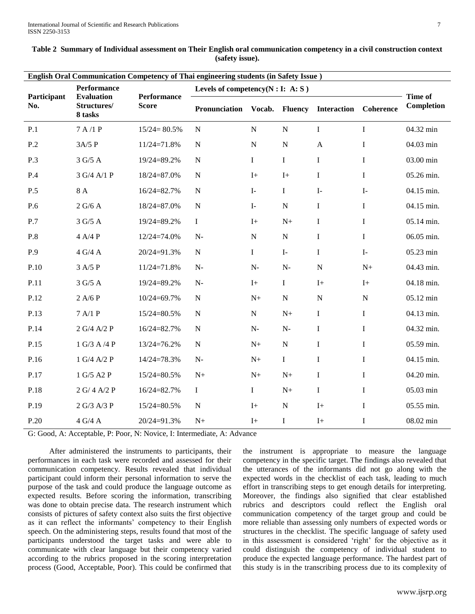| <b>English Oral Communication Competency of Thai engineering students (in Safety Issue)</b> |                                             |                             |                                       |                      |                |                    |                  |                                     |  |  |  |
|---------------------------------------------------------------------------------------------|---------------------------------------------|-----------------------------|---------------------------------------|----------------------|----------------|--------------------|------------------|-------------------------------------|--|--|--|
|                                                                                             | Performance                                 |                             | Levels of competency( $N : I: A: S$ ) |                      |                |                    |                  |                                     |  |  |  |
| Participant<br>No.                                                                          | <b>Evaluation</b><br>Structures/<br>8 tasks | Performance<br><b>Score</b> | Pronunciation                         | Vocab.               | <b>Fluency</b> | <b>Interaction</b> | <b>Coherence</b> | <b>Time of</b><br><b>Completion</b> |  |  |  |
| P.1                                                                                         | 7A/1P                                       | $15/24 = 80.5%$             | ${\bf N}$                             | ${\bf N}$            | ${\bf N}$      | $\bf I$            | $\mathbf I$      | 04.32 min                           |  |  |  |
| P.2                                                                                         | 3A/5P                                       | $11/24=71.8%$               | ${\bf N}$                             | ${\bf N}$            | $\mathbf N$    | $\mathbf{A}$       | I                | 04.03 min                           |  |  |  |
| P.3                                                                                         | 3 G/5 A                                     | 19/24=89.2%                 | ${\bf N}$                             | $\bf I$              | $\bf I$        | $\mathbf I$        | $\bf{I}$         | 03.00 min                           |  |  |  |
| P.4                                                                                         | 3 G/4 A/1 P                                 | 18/24=87.0%                 | ${\bf N}$                             | $I+$                 | $I+$           | $\bf I$            | $\bf{I}$         | 05.26 min.                          |  |  |  |
| P.5                                                                                         | 8 A                                         | 16/24=82.7%                 | ${\bf N}$                             | $I-$                 | $\bf I$        | $I-$               | $I-$             | 04.15 min.                          |  |  |  |
| P.6                                                                                         | 2 G/6 A                                     | 18/24=87.0%                 | ${\bf N}$                             | $I-$                 | $\mathbf N$    | $\mathbf I$        | $\bf{I}$         | 04.15 min.                          |  |  |  |
| P.7                                                                                         | 3 G/5 A                                     | 19/24=89.2%                 | $\rm I$                               | $I+$                 | ${\rm N}+$     | $\bf I$            | $\bf I$          | 05.14 min.                          |  |  |  |
| P.8                                                                                         | 4 A/4 P                                     | $12/24=74.0%$               | $N-$                                  | ${\bf N}$            | $\mathbf N$    | $\mathbf I$        | $\mathbf{I}$     | 06.05 min.                          |  |  |  |
| P.9                                                                                         | $4\ \mathrm{G}/4\ \mathrm{A}$               | 20/24=91.3%                 | ${\bf N}$                             | $\bf I$              | $I-$           | $\bf I$            | $I-$             | 05.23 min                           |  |  |  |
| P.10                                                                                        | 3 A/5 P                                     | $11/24=71.8%$               | $N-$                                  | $\mathbf{N}\text{-}$ | $\mathbf{N}$   | ${\bf N}$          | $N+$             | 04.43 min.                          |  |  |  |
| P.11                                                                                        | 3 G/5 A                                     | 19/24=89.2%                 | $\mathbf{N}\text{-}$                  | $\mathbf{I}+$        | $\bf I$        | $I+$               | $I+$             | 04.18 min.                          |  |  |  |
| P.12                                                                                        | 2 A/6 P                                     | $10/24 = 69.7%$             | ${\bf N}$                             | $N+$                 | $\mathbf N$    | ${\bf N}$          | ${\bf N}$        | 05.12 min                           |  |  |  |
| P.13                                                                                        | 7 A/1 P                                     | 15/24=80.5%                 | ${\bf N}$                             | ${\bf N}$            | ${\rm N}+$     | $\mathbf I$        | $\bf{I}$         | 04.13 min.                          |  |  |  |
| P.14                                                                                        | 2 G/4 A/2 P                                 | 16/24=82.7%                 | ${\bf N}$                             | $N-$                 | $\mathbf{N}$   | $\bf I$            | $\mathbf{I}$     | 04.32 min.                          |  |  |  |
| P.15                                                                                        | 1 G/3 A/4 P                                 | 13/24=76.2%                 | ${\bf N}$                             | $N+$                 | ${\bf N}$      | $\mathbf I$        | I                | 05.59 min.                          |  |  |  |
| P.16                                                                                        | 1 G/4 A/2 P                                 | 14/24=78.3%                 | $N-$                                  | $N+$                 | $\mathbf I$    | $\mathbf I$        | $\bf{I}$         | 04.15 min.                          |  |  |  |
| P.17                                                                                        | 1 G/5 A2 P                                  | 15/24=80.5%                 | ${\rm N}+$                            | $N+$                 | $N+$           | $\bf I$            | $\bf I$          | 04.20 min.                          |  |  |  |
| P.18                                                                                        | 2 G/4 A/2 P                                 | 16/24=82.7%                 | $\bf{I}$                              | $\mathbf I$          | $N+$           | $\mathbf I$        | $\mathbf{I}$     | 05.03 min                           |  |  |  |
| P.19                                                                                        | 2 G/3 A/3 P                                 | 15/24=80.5%                 | ${\bf N}$                             | $I+$                 | $\mathbf N$    | $I+$               | $\bf I$          | 05.55 min.                          |  |  |  |
| P.20                                                                                        | $4$ G/4 A                                   | 20/24=91.3%                 | $N+$                                  | $I+$                 | $\bf I$        | $I+$               | $\mathbf I$      | 08.02 min                           |  |  |  |

| Table 2 Summary of Individual assessment on Their English oral communication competency in a civil construction context |  |
|-------------------------------------------------------------------------------------------------------------------------|--|
| (safety issue).                                                                                                         |  |

G: Good, A: Acceptable, P: Poor, N: Novice, I: Intermediate, A: Advance

 After administered the instruments to participants, their performances in each task were recorded and assessed for their communication competency. Results revealed that individual participant could inform their personal information to serve the purpose of the task and could produce the language outcome as expected results. Before scoring the information, transcribing was done to obtain precise data. The research instrument which consists of pictures of safety context also suits the first objective as it can reflect the informants' competency to their English speech. On the administering steps, results found that most of the participants understood the target tasks and were able to communicate with clear language but their competency varied according to the rubrics proposed in the scoring interpretation process (Good, Acceptable, Poor). This could be confirmed that the instrument is appropriate to measure the language competency in the specific target. The findings also revealed that the utterances of the informants did not go along with the expected words in the checklist of each task, leading to much effort in transcribing steps to get enough details for interpreting. Moreover, the findings also signified that clear established rubrics and descriptors could reflect the English oral communication competency of the target group and could be more reliable than assessing only numbers of expected words or structures in the checklist. The specific language of safety used in this assessment is considered "right" for the objective as it could distinguish the competency of individual student to produce the expected language performance. The hardest part of this study is in the transcribing process due to its complexity of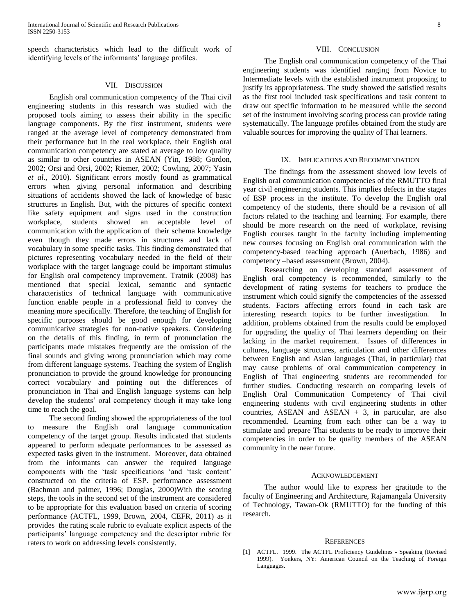speech characteristics which lead to the difficult work of identifying levels of the informants' language profiles.

#### VII. DISCUSSION

 English oral communication competency of the Thai civil engineering students in this research was studied with the proposed tools aiming to assess their ability in the specific language components. By the first instrument, students were ranged at the average level of competency demonstrated from their performance but in the real workplace, their English oral communication competency are stated at average to low quality as similar to other countries in ASEAN (Yin, 1988; Gordon, 2002; Orsi and Orsi, 2002; Riemer, 2002; Cowling, 2007; Yasin *et al*., 2010). Significant errors mostly found as grammatical errors when giving personal information and describing situations of accidents showed the lack of knowledge of basic structures in English. But, with the pictures of specific context like safety equipment and signs used in the construction workplace, students showed an acceptable level of communication with the application of their schema knowledge even though they made errors in structures and lack of vocabulary in some specific tasks. This finding demonstrated that pictures representing vocabulary needed in the field of their workplace with the target language could be important stimulus for English oral competency improvement. Tratnik (2008) has mentioned that special lexical, semantic and syntactic characteristics of technical language with communicative function enable people in a professional field to convey the meaning more specifically. Therefore, the teaching of English for specific purposes should be good enough for developing communicative strategies for non-native speakers. Considering on the details of this finding, in term of pronunciation the participants made mistakes frequently are the omission of the final sounds and giving wrong pronunciation which may come from different language systems. Teaching the system of English pronunciation to provide the ground knowledge for pronouncing correct vocabulary and pointing out the differences of pronunciation in Thai and English language systems can help develop the students" oral competency though it may take long time to reach the goal.

 The second finding showed the appropriateness of the tool to measure the English oral language communication competency of the target group. Results indicated that students appeared to perform adequate performances to be assessed as expected tasks given in the instrument. Moreover, data obtained from the informants can answer the required language components with the "task specifications "and "task content" constructed on the criteria of ESP. performance assessment (Bachman and palmer, 1996; Douglas, 2000)With the scoring steps, the tools in the second set of the instrument are considered to be appropriate for this evaluation based on criteria of scoring performance (ACTFL, 1999, Brown, 2004, CEFR, 2011) as it provides the rating scale rubric to evaluate explicit aspects of the participants" language competency and the descriptor rubric for raters to work on addressing levels consistently.

 The English oral communication competency of the Thai engineering students was identified ranging from Novice to Intermediate levels with the established instrument proposing to justify its appropriateness. The study showed the satisfied results as the first tool included task specifications and task content to draw out specific information to be measured while the second set of the instrument involving scoring process can provide rating systematically. The language profiles obtained from the study are valuable sources for improving the quality of Thai learners.

## IX. IMPLICATIONS AND RECOMMENDATION

 The findings from the assessment showed low levels of English oral communication competencies of the RMUTTO final year civil engineering students. This implies defects in the stages of ESP process in the institute. To develop the English oral competency of the students, there should be a revision of all factors related to the teaching and learning. For example, there should be more research on the need of workplace, revising English courses taught in the faculty including implementing new courses focusing on English oral communication with the competency-based teaching approach (Auerbach, 1986) and competency –based assessment (Brown, 2004).

 Researching on developing standard assessment of English oral competency is recommended, similarly to the development of rating systems for teachers to produce the instrument which could signify the competencies of the assessed students. Factors affecting errors found in each task are interesting research topics to be further investigation. In addition, problems obtained from the results could be employed for upgrading the quality of Thai learners depending on their lacking in the market requirement. Issues of differences in cultures, language structures, articulation and other differences between English and Asian languages (Thai, in particular) that may cause problems of oral communication competency in English of Thai engineering students are recommended for further studies. Conducting research on comparing levels of English Oral Communication Competency of Thai civil engineering students with civil engineering students in other countries, ASEAN and ASEAN  $+$  3, in particular, are also recommended. Learning from each other can be a way to stimulate and prepare Thai students to be ready to improve their competencies in order to be quality members of the ASEAN community in the near future.

#### ACKNOWLEDGEMENT

 The author would like to express her gratitude to the faculty of Engineering and Architecture, Rajamangala University of Technology, Tawan-Ok (RMUTTO) for the funding of this research.

#### **REFERENCES**

[1] ACTFL. 1999. The ACTFL Proficiency Guidelines - Speaking (Revised 1999). Yonkers, NY: American Council on the Teaching of Foreign Languages.